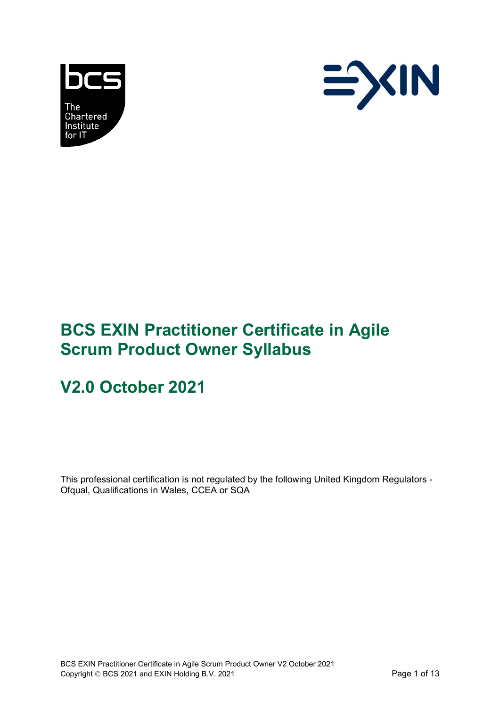



# **BCS EXIN Practitioner Certificate in Agile Scrum Product Owner Syllabus**

# **V2.0 October 2021**

This professional certification is not regulated by the following United Kingdom Regulators - Ofqual, Qualifications in Wales, CCEA or SQA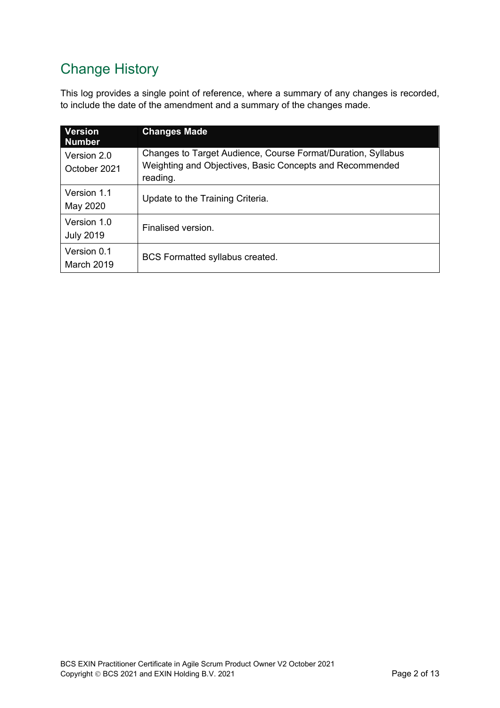# Change History

This log provides a single point of reference, where a summary of any changes is recorded, to include the date of the amendment and a summary of the changes made.

| <b>Version</b><br><b>Number</b> | <b>Changes Made</b>                                                                                                                  |
|---------------------------------|--------------------------------------------------------------------------------------------------------------------------------------|
| Version 2.0<br>October 2021     | Changes to Target Audience, Course Format/Duration, Syllabus<br>Weighting and Objectives, Basic Concepts and Recommended<br>reading. |
| Version 1.1<br>May 2020         | Update to the Training Criteria.                                                                                                     |
| Version 1.0<br><b>July 2019</b> | Finalised version.                                                                                                                   |
| Version 0.1<br>March 2019       | <b>BCS Formatted syllabus created.</b>                                                                                               |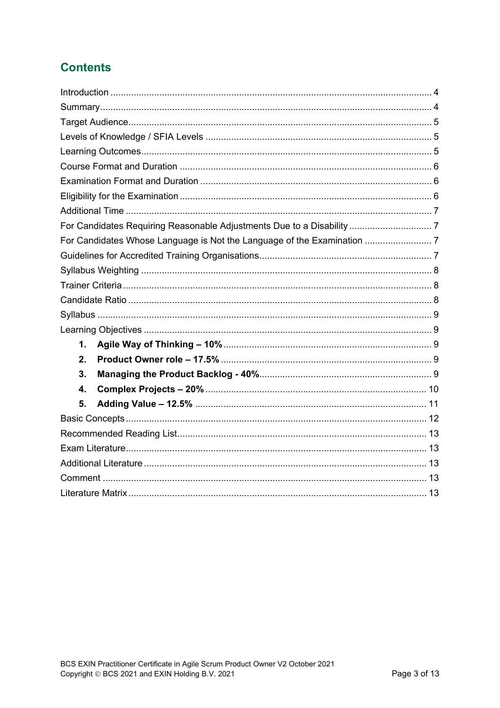### **Contents**

| $\mathbf{1}$ .            |  |  |
|---------------------------|--|--|
| 2.                        |  |  |
| 3.                        |  |  |
| $\overline{\mathbf{4}}$ . |  |  |
| 5.                        |  |  |
|                           |  |  |
|                           |  |  |
|                           |  |  |
|                           |  |  |
|                           |  |  |
|                           |  |  |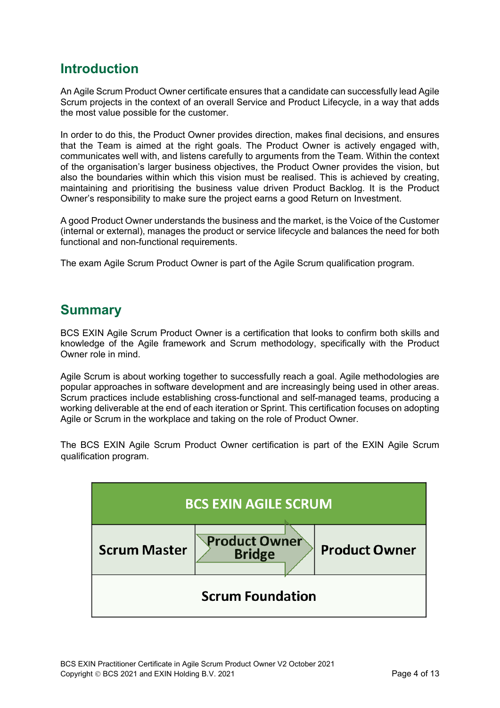### <span id="page-3-0"></span>**Introduction**

An Agile Scrum Product Owner certificate ensures that a candidate can successfully lead Agile Scrum projects in the context of an overall Service and Product Lifecycle, in a way that adds the most value possible for the customer.

In order to do this, the Product Owner provides direction, makes final decisions, and ensures that the Team is aimed at the right goals. The Product Owner is actively engaged with, communicates well with, and listens carefully to arguments from the Team. Within the context of the organisation's larger business objectives, the Product Owner provides the vision, but also the boundaries within which this vision must be realised. This is achieved by creating, maintaining and prioritising the business value driven Product Backlog. It is the Product Owner's responsibility to make sure the project earns a good Return on Investment.

A good Product Owner understands the business and the market, is the Voice of the Customer (internal or external), manages the product or service lifecycle and balances the need for both functional and non-functional requirements.

The exam Agile Scrum Product Owner is part of the Agile Scrum qualification program.

### <span id="page-3-1"></span>**Summary**

BCS EXIN Agile Scrum Product Owner is a certification that looks to confirm both skills and knowledge of the Agile framework and Scrum methodology, specifically with the Product Owner role in mind.

Agile Scrum is about working together to successfully reach a goal. Agile methodologies are popular approaches in software development and are increasingly being used in other areas. Scrum practices include establishing cross-functional and self-managed teams, producing a working deliverable at the end of each iteration or Sprint. This certification focuses on adopting Agile or Scrum in the workplace and taking on the role of Product Owner.

The BCS EXIN Agile Scrum Product Owner certification is part of the EXIN Agile Scrum qualification program.

| <b>BCS EXIN AGILE SCRUM</b> |                                       |                      |  |
|-----------------------------|---------------------------------------|----------------------|--|
| <b>Scrum Master</b>         | <b>Product Owner</b><br><b>Bridge</b> | <b>Product Owner</b> |  |
| <b>Scrum Foundation</b>     |                                       |                      |  |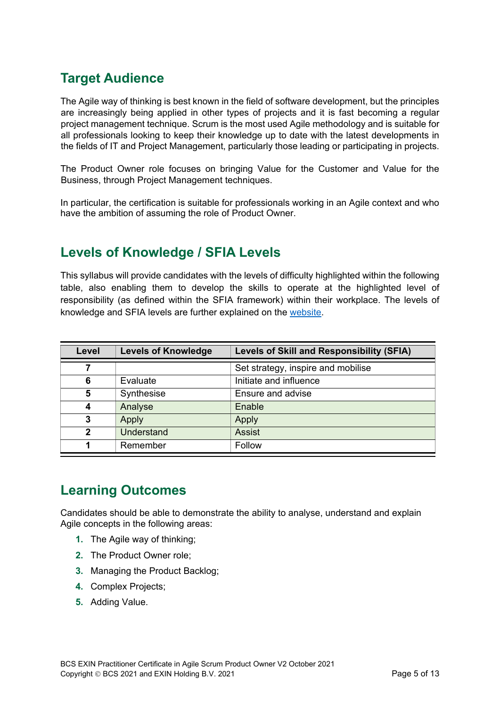## <span id="page-4-0"></span>**Target Audience**

The Agile way of thinking is best known in the field of software development, but the principles are increasingly being applied in other types of projects and it is fast becoming a regular project management technique. Scrum is the most used Agile methodology and is suitable for all professionals looking to keep their knowledge up to date with the latest developments in the fields of IT and Project Management, particularly those leading or participating in projects.

The Product Owner role focuses on bringing Value for the Customer and Value for the Business, through Project Management techniques.

In particular, the certification is suitable for professionals working in an Agile context and who have the ambition of assuming the role of Product Owner.

### <span id="page-4-1"></span>**Levels of Knowledge / SFIA Levels**

This syllabus will provide candidates with the levels of difficulty highlighted within the following table, also enabling them to develop the skills to operate at the highlighted level of responsibility (as defined within the SFIA framework) within their workplace. The levels of knowledge and SFIA levels are further explained on the [website.](https://certifications.bcs.org/upload/pdf/sfia-levels-knowledge.pdf)

| Level | <b>Levels of Knowledge</b> | Levels of Skill and Responsibility (SFIA) |
|-------|----------------------------|-------------------------------------------|
|       |                            | Set strategy, inspire and mobilise        |
| 6     | Evaluate                   | Initiate and influence                    |
| 5     | Synthesise                 | Ensure and advise                         |
| Δ     | Analyse                    | Enable                                    |
| 3     | Apply                      | Apply                                     |
| 2     | Understand                 | <b>Assist</b>                             |
|       | Remember                   | Follow                                    |

### <span id="page-4-2"></span>**Learning Outcomes**

Candidates should be able to demonstrate the ability to analyse, understand and explain Agile concepts in the following areas:

- **1.** The Agile way of thinking;
- **2.** The Product Owner role;
- **3.** Managing the Product Backlog;
- **4.** Complex Projects;
- **5.** Adding Value.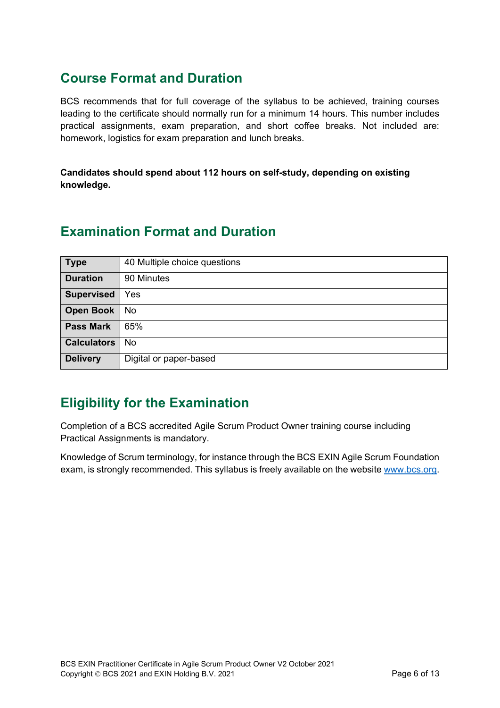### <span id="page-5-0"></span>**Course Format and Duration**

BCS recommends that for full coverage of the syllabus to be achieved, training courses leading to the certificate should normally run for a minimum 14 hours. This number includes practical assignments, exam preparation, and short coffee breaks. Not included are: homework, logistics for exam preparation and lunch breaks.

**Candidates should spend about 112 hours on self-study, depending on existing knowledge.**

### <span id="page-5-1"></span>**Examination Format and Duration**

| <b>Type</b>        | 40 Multiple choice questions |
|--------------------|------------------------------|
| <b>Duration</b>    | 90 Minutes                   |
| <b>Supervised</b>  | Yes                          |
| <b>Open Book</b>   | No                           |
| <b>Pass Mark</b>   | 65%                          |
| <b>Calculators</b> | No.                          |
| <b>Delivery</b>    | Digital or paper-based       |

### <span id="page-5-2"></span>**Eligibility for the Examination**

Completion of a BCS accredited Agile Scrum Product Owner training course including Practical Assignments is mandatory.

Knowledge of Scrum terminology, for instance through the BCS EXIN Agile Scrum Foundation exam, is strongly recommended. This syllabus is freely available on the website [www.bcs.org.](https://www.bcs.org/get-qualified/certifications-for-professionals/agile-certifications/)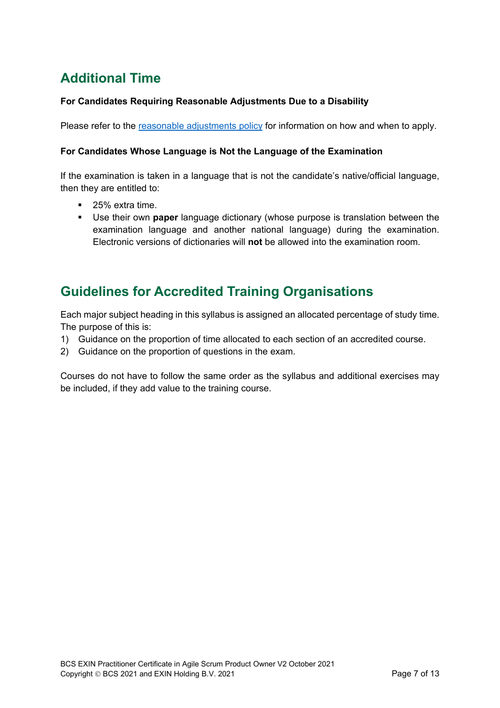## <span id="page-6-0"></span>**Additional Time**

#### <span id="page-6-1"></span>**For Candidates Requiring Reasonable Adjustments Due to a Disability**

Please refer to the [reasonable adjustments policy](https://certifications.bcs.org/upload/pdf/reasonable-adjustments-policy_1.pdf) for information on how and when to apply.

#### <span id="page-6-2"></span>**For Candidates Whose Language is Not the Language of the Examination**

If the examination is taken in a language that is not the candidate's native/official language, then they are entitled to:

- 25% extra time.
- Use their own **paper** language dictionary (whose purpose is translation between the examination language and another national language) during the examination. Electronic versions of dictionaries will **not** be allowed into the examination room.

### <span id="page-6-3"></span>**Guidelines for Accredited Training Organisations**

Each major subject heading in this syllabus is assigned an allocated percentage of study time. The purpose of this is:

- 1) Guidance on the proportion of time allocated to each section of an accredited course.
- 2) Guidance on the proportion of questions in the exam.

Courses do not have to follow the same order as the syllabus and additional exercises may be included, if they add value to the training course.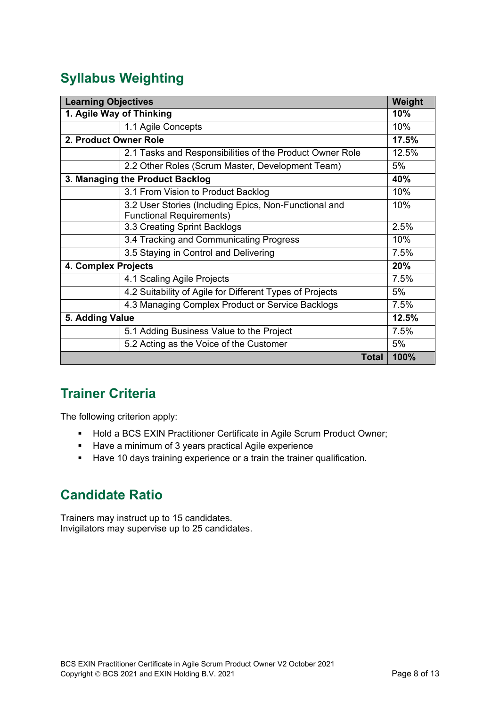# <span id="page-7-0"></span>**Syllabus Weighting**

| <b>Learning Objectives</b>      |                                                                                          | Weight       |       |
|---------------------------------|------------------------------------------------------------------------------------------|--------------|-------|
| 1. Agile Way of Thinking        |                                                                                          |              | 10%   |
|                                 | 1.1 Agile Concepts                                                                       |              | 10%   |
| 2. Product Owner Role           |                                                                                          | 17.5%        |       |
|                                 | 2.1 Tasks and Responsibilities of the Product Owner Role                                 |              | 12.5% |
|                                 | 2.2 Other Roles (Scrum Master, Development Team)                                         |              | 5%    |
| 3. Managing the Product Backlog |                                                                                          |              | 40%   |
|                                 | 3.1 From Vision to Product Backlog                                                       |              | 10%   |
|                                 | 3.2 User Stories (Including Epics, Non-Functional and<br><b>Functional Requirements)</b> |              | 10%   |
|                                 | 3.3 Creating Sprint Backlogs                                                             |              | 2.5%  |
|                                 | 3.4 Tracking and Communicating Progress                                                  |              | 10%   |
|                                 | 3.5 Staying in Control and Delivering                                                    |              | 7.5%  |
| 4. Complex Projects             |                                                                                          |              | 20%   |
|                                 | 4.1 Scaling Agile Projects                                                               |              | 7.5%  |
|                                 | 4.2 Suitability of Agile for Different Types of Projects                                 |              | 5%    |
|                                 | 4.3 Managing Complex Product or Service Backlogs                                         |              | 7.5%  |
| 5. Adding Value                 |                                                                                          |              | 12.5% |
|                                 | 5.1 Adding Business Value to the Project                                                 |              | 7.5%  |
|                                 | 5.2 Acting as the Voice of the Customer                                                  |              | 5%    |
|                                 |                                                                                          | <b>Total</b> | 100%  |

### <span id="page-7-1"></span>**Trainer Criteria**

The following criterion apply:

- **-** Hold a BCS EXIN Practitioner Certificate in Agile Scrum Product Owner;
- Have a minimum of 3 years practical Agile experience
- Have 10 days training experience or a train the trainer qualification.

### <span id="page-7-2"></span>**Candidate Ratio**

Trainers may instruct up to 15 candidates. Invigilators may supervise up to 25 candidates.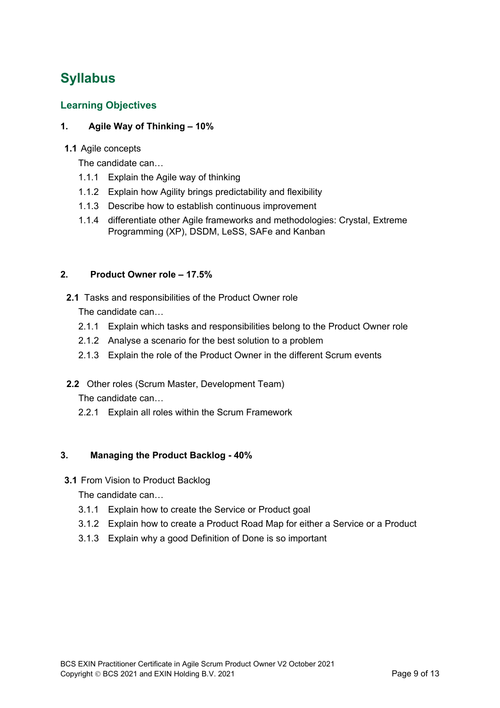# <span id="page-8-0"></span>**Syllabus**

#### <span id="page-8-1"></span>**Learning Objectives**

#### <span id="page-8-2"></span>**1. Agile Way of Thinking – 10%**

#### **1.1** Agile concepts

The candidate can…

- 1.1.1 Explain the Agile way of thinking
- 1.1.2 Explain how Agility brings predictability and flexibility
- 1.1.3 Describe how to establish continuous improvement
- 1.1.4 differentiate other Agile frameworks and methodologies: Crystal, Extreme Programming (XP), DSDM, LeSS, SAFe and Kanban

#### <span id="page-8-3"></span>**2. Product Owner role – 17.5%**

**2.1** Tasks and responsibilities of the Product Owner role

The candidate can…

- 2.1.1 Explain which tasks and responsibilities belong to the Product Owner role
- 2.1.2 Analyse a scenario for the best solution to a problem
- 2.1.3 Explain the role of the Product Owner in the different Scrum events
- **2.2** Other roles (Scrum Master, Development Team)

The candidate can…

2.2.1 Explain all roles within the Scrum Framework

#### <span id="page-8-4"></span>**3. Managing the Product Backlog - 40%**

**3.1** From Vision to Product Backlog

The candidate can…

- 3.1.1 Explain how to create the Service or Product goal
- 3.1.2 Explain how to create a Product Road Map for either a Service or a Product
- 3.1.3 Explain why a good Definition of Done is so important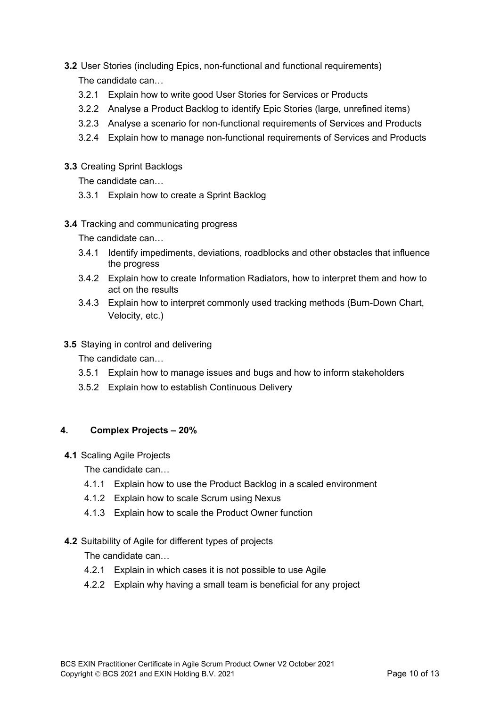- **3.2** User Stories (including Epics, non-functional and functional requirements) The candidate can…
	- 3.2.1 Explain how to write good User Stories for Services or Products
	- 3.2.2 Analyse a Product Backlog to identify Epic Stories (large, unrefined items)
	- 3.2.3 Analyse a scenario for non-functional requirements of Services and Products
	- 3.2.4 Explain how to manage non-functional requirements of Services and Products
- **3.3** Creating Sprint Backlogs

The candidate can…

- 3.3.1 Explain how to create a Sprint Backlog
- **3.4** Tracking and communicating progress

The candidate can…

- 3.4.1 Identify impediments, deviations, roadblocks and other obstacles that influence the progress
- 3.4.2 Explain how to create Information Radiators, how to interpret them and how to act on the results
- 3.4.3 Explain how to interpret commonly used tracking methods (Burn-Down Chart, Velocity, etc.)
- **3.5** Staying in control and delivering

The candidate can…

- 3.5.1 Explain how to manage issues and bugs and how to inform stakeholders
- 3.5.2 Explain how to establish Continuous Delivery

#### <span id="page-9-0"></span>**4. Complex Projects – 20%**

**4.1** Scaling Agile Projects

The candidate can…

- 4.1.1 Explain how to use the Product Backlog in a scaled environment
- 4.1.2 Explain how to scale Scrum using Nexus
- 4.1.3 Explain how to scale the Product Owner function

#### **4.2** Suitability of Agile for different types of projects

The candidate can…

- 4.2.1 Explain in which cases it is not possible to use Agile
- 4.2.2 Explain why having a small team is beneficial for any project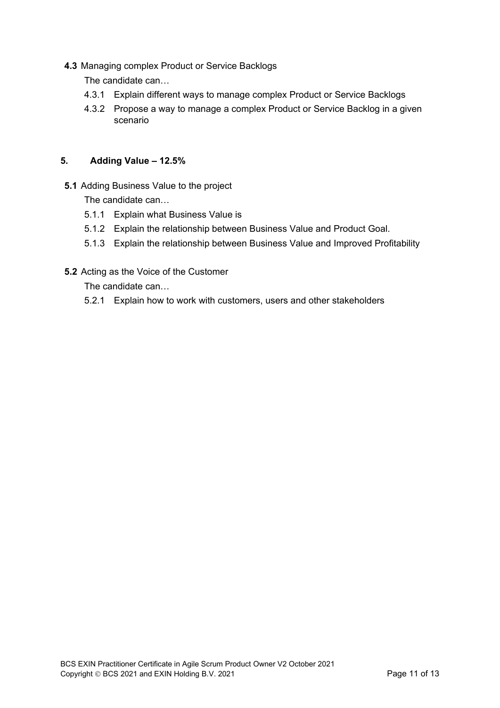**4.3** Managing complex Product or Service Backlogs

The candidate can…

- 4.3.1 Explain different ways to manage complex Product or Service Backlogs
- 4.3.2 Propose a way to manage a complex Product or Service Backlog in a given scenario

#### <span id="page-10-0"></span>**5. Adding Value – 12.5%**

**5.1** Adding Business Value to the project

The candidate can…

- 5.1.1 Explain what Business Value is
- 5.1.2 Explain the relationship between Business Value and Product Goal.
- 5.1.3 Explain the relationship between Business Value and Improved Profitability
- **5.2** Acting as the Voice of the Customer

The candidate can…

5.2.1 Explain how to work with customers, users and other stakeholders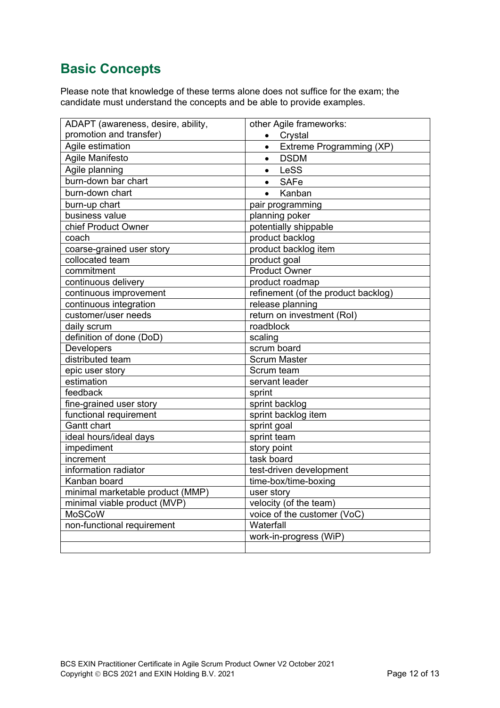### <span id="page-11-0"></span>**Basic Concepts**

Please note that knowledge of these terms alone does not suffice for the exam; the candidate must understand the concepts and be able to provide examples.

| ADAPT (awareness, desire, ability, | other Agile frameworks:             |  |  |
|------------------------------------|-------------------------------------|--|--|
| promotion and transfer)            | Crystal<br>$\bullet$                |  |  |
| Agile estimation                   | Extreme Programming (XP)            |  |  |
| Agile Manifesto                    | <b>DSDM</b>                         |  |  |
| Agile planning                     | LeSS                                |  |  |
| burn-down bar chart                | <b>SAFe</b><br>$\bullet$            |  |  |
| burn-down chart                    | Kanban<br>$\bullet$                 |  |  |
| burn-up chart                      | pair programming                    |  |  |
| business value                     | planning poker                      |  |  |
| chief Product Owner                | potentially shippable               |  |  |
| coach                              | product backlog                     |  |  |
| coarse-grained user story          | product backlog item                |  |  |
| collocated team                    | product goal                        |  |  |
| commitment                         | <b>Product Owner</b>                |  |  |
| continuous delivery                | product roadmap                     |  |  |
| continuous improvement             | refinement (of the product backlog) |  |  |
| continuous integration             | release planning                    |  |  |
| customer/user needs                | return on investment (Rol)          |  |  |
| daily scrum                        | roadblock                           |  |  |
| definition of done (DoD)           | scaling                             |  |  |
| Developers                         | scrum board                         |  |  |
| distributed team                   | <b>Scrum Master</b>                 |  |  |
| epic user story                    | Scrum team                          |  |  |
| estimation                         | servant leader                      |  |  |
| feedback                           | sprint                              |  |  |
| fine-grained user story            | sprint backlog                      |  |  |
| functional requirement             | sprint backlog item                 |  |  |
| Gantt chart                        | sprint goal                         |  |  |
| ideal hours/ideal days             | sprint team                         |  |  |
| impediment                         | story point                         |  |  |
| increment                          | task board                          |  |  |
| information radiator               | test-driven development             |  |  |
| Kanban board                       | time-box/time-boxing                |  |  |
| minimal marketable product (MMP)   | user story                          |  |  |
| minimal viable product (MVP)       | velocity (of the team)              |  |  |
| <b>MoSCoW</b>                      | voice of the customer (VoC)         |  |  |
| non-functional requirement         | Waterfall                           |  |  |
|                                    | work-in-progress (WiP)              |  |  |
|                                    |                                     |  |  |